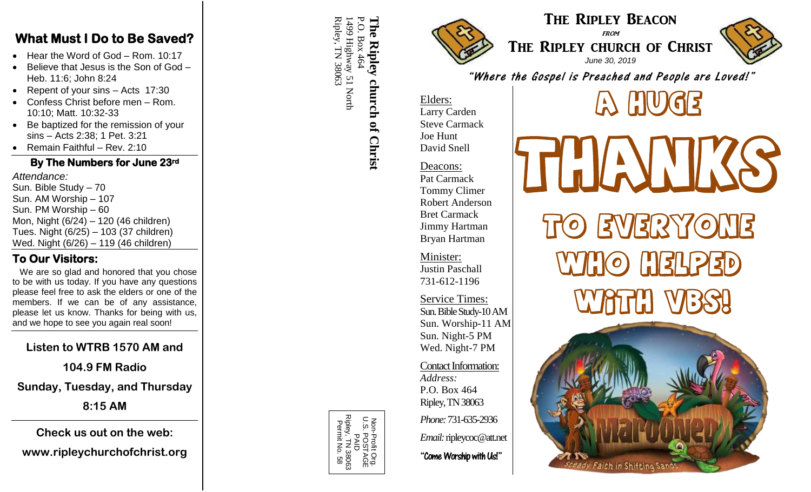#### **What Must I Do to Be Saved?**

- Hear the Word of God Rom. 10:17
- Believe that Jesus is the Son of God Heb. 11:6; John 8:24
- Repent of your sins Acts 17:30
- Confess Christ before men Rom. 10:10; Matt. 10:32 -33
- Be baptized for the remission of your sins – Acts 2:38; 1 Pet. 3:21
- Remain Faithful Rev. 2:10

#### **By The Numbers for June 23rd**

*Attendance:* Sun. Bible Study – 70 Sun. AM Worship - 107 Sun. PM Worship – 60 Mon, Night (6/24) – 120 (46 children) Tues. Night (6/25) – 103 (37 children) Wed. Night (6/26 ) – 119 (46 children)

### **To Our Visitors:**

We are so glad and honored that you chose to be with us today. If you have any questions please feel free to ask the elders or one of the members. If we can be of any assistance, please let us know. Thanks for being with us, and we hope to see you again real soon!

# **Listen to WTRB 1570 AM and**

**104.9 FM Radio**

**Sunday, Tuesday, and Thursday**

**8:15 AM**

**Check us out on the web: www.ripleychurchofchrist.org**

#### Ripley, TN 38063 P.O. Box 464 Ripley, TN 38063 1499 Highway 51 North **The Ripley church of Christ** The 499 Highway 51 North  $\sum$ Box 46 **Ripley** church of Christ



# The Ripley Beacon

**FROM** THE RIPLEY CHURCH OF CHRIST *June 3 0, 2019*



"Where the Gospel is Preached and People are Loved!"

#### Elders: Larry Carden Steve Carmack Joe Hunt David Snell

Deacons: Pat Carmack Tommy Climer Robert Anderson Bret Carmack Jimmy Hartman Bryan Hartman

Minister: Justin Paschall 731 -612 -1196

Service Times: Sun. Bible Study-10 AM Sun. Worship -11 AM Sun. Night - 5 PM Wed. Night -7 PM

Contact Information: *Address:* P.O. Box 464 Ripley, TN 38063 *Phone:* 731 -635 -2936

*Email:*ripleycoc@att.net

"Come Worship with Us!"



THANIKS to Everyone who Helped  $\mathbf{U}$